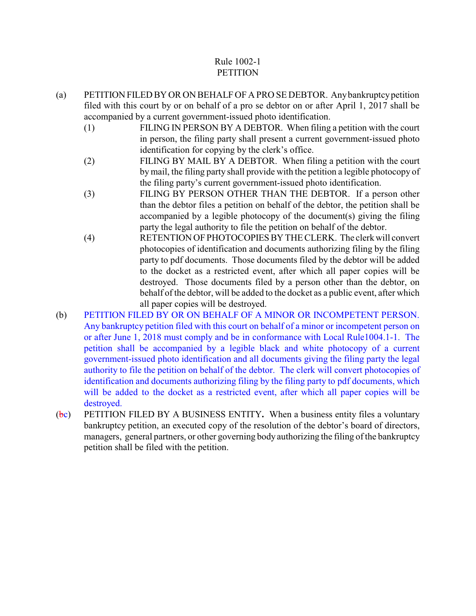# Rule 1002-1 **PETITION**

- (a) PETITION FILED BY OR ON BEHALF OF A PRO SE DEBTOR. Any bankruptcy petition filed with this court by or on behalf of a pro se debtor on or after April 1, 2017 shall be accompanied by a current government-issued photo identification.
	- (1) FILING IN PERSON BY A DEBTOR. When filing a petition with the court in person, the filing party shall present a current government-issued photo identification for copying by the clerk's office.
	- (2) FILING BY MAIL BY A DEBTOR. When filing a petition with the court by mail, the filing party shall provide with the petition a legible photocopy of the filing party's current government-issued photo identification.
	- (3) FILING BY PERSON OTHER THAN THE DEBTOR. If a person other than the debtor files a petition on behalf of the debtor, the petition shall be accompanied by a legible photocopy of the document(s) giving the filing party the legal authority to file the petition on behalf of the debtor.
	- (4) RETENTION OF PHOTOCOPIES BY THE CLERK. The clerk will convert photocopies of identification and documents authorizing filing by the filing party to pdf documents. Those documents filed by the debtor will be added to the docket as a restricted event, after which all paper copies will be destroyed. Those documents filed by a person other than the debtor, on behalf of the debtor, will be added to the docket as a public event, after which all paper copies will be destroyed.
- (b) PETITION FILED BY OR ON BEHALF OF A MINOR OR INCOMPETENT PERSON. Any bankruptcy petition filed with this court on behalf of a minor or incompetent person on or after June 1, 2018 must comply and be in conformance with Local Rule1004.1-1. The petition shall be accompanied by a legible black and white photocopy of a current government-issued photo identification and all documents giving the filing party the legal authority to file the petition on behalf of the debtor. The clerk will convert photocopies of identification and documents authorizing filing by the filing party to pdf documents, which will be added to the docket as a restricted event, after which all paper copies will be destroyed.
- (bc) PETITION FILED BY A BUSINESS ENTITY**.** When a business entity files a voluntary bankruptcy petition, an executed copy of the resolution of the debtor's board of directors, managers, general partners, or other governing body authorizing the filing of the bankruptcy petition shall be filed with the petition.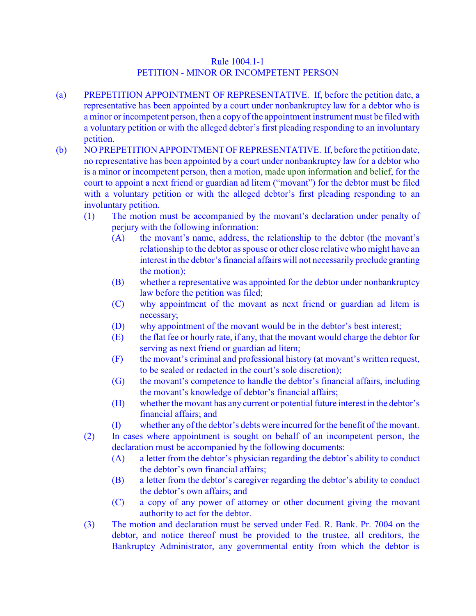## Rule 1004.1-1 PETITION - MINOR OR INCOMPETENT PERSON

- (a) PREPETITION APPOINTMENT OF REPRESENTATIVE. If, before the petition date, a representative has been appointed by a court under nonbankruptcy law for a debtor who is a minor or incompetent person, then a copy of the appointment instrument must be filed with a voluntary petition or with the alleged debtor's first pleading responding to an involuntary petition.
- (b) NO PREPETITION APPOINTMENT OFREPRESENTATIVE. If, before the petition date, no representative has been appointed by a court under nonbankruptcy law for a debtor who is a minor or incompetent person, then a motion, made upon information and belief, for the court to appoint a next friend or guardian ad litem ("movant") for the debtor must be filed with a voluntary petition or with the alleged debtor's first pleading responding to an involuntary petition.
	- (1) The motion must be accompanied by the movant's declaration under penalty of perjury with the following information:
		- (A) the movant's name, address, the relationship to the debtor (the movant's relationship to the debtor as spouse or other close relative who might have an interest in the debtor's financial affairs will not necessarily preclude granting the motion);
		- (B) whether a representative was appointed for the debtor under nonbankruptcy law before the petition was filed;
		- (C) why appointment of the movant as next friend or guardian ad litem is necessary;
		- (D) why appointment of the movant would be in the debtor's best interest;
		- (E) the flat fee or hourly rate, if any, that the movant would charge the debtor for serving as next friend or guardian ad litem;
		- (F) the movant's criminal and professional history (at movant's written request, to be sealed or redacted in the court's sole discretion);
		- (G) the movant's competence to handle the debtor's financial affairs, including the movant's knowledge of debtor's financial affairs;
		- (H) whether the movant has any current or potential future interest in the debtor's financial affairs; and
		- (I) whether any of the debtor's debts were incurred for the benefit of the movant.
	- (2) In cases where appointment is sought on behalf of an incompetent person, the declaration must be accompanied by the following documents:
		- (A) a letter from the debtor's physician regarding the debtor's ability to conduct the debtor's own financial affairs;
		- (B) a letter from the debtor's caregiver regarding the debtor's ability to conduct the debtor's own affairs; and
		- (C) a copy of any power of attorney or other document giving the movant authority to act for the debtor.
	- (3) The motion and declaration must be served under Fed. R. Bank. Pr. 7004 on the debtor, and notice thereof must be provided to the trustee, all creditors, the Bankruptcy Administrator, any governmental entity from which the debtor is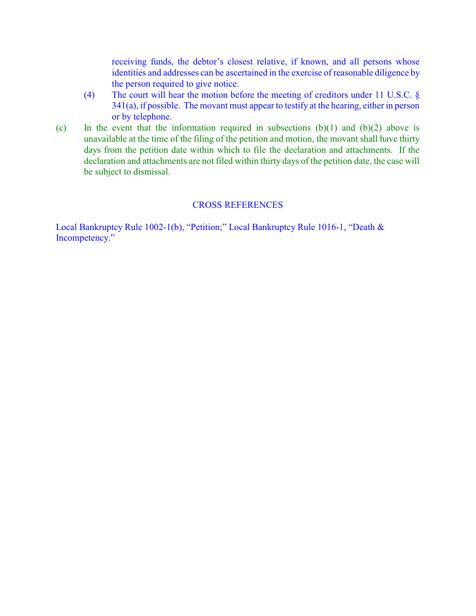receiving funds, the debtor's closest relative, if known, and all persons whose identities and addresses can be ascertained in the exercise of reasonable diligence by the person required to give notice.

- (4) The court will hear the motion before the meeting of creditors under 11 U.S.C. § 341(a), if possible. The movant must appear to testify at the hearing, either in person or by telephone.
- (c) In the event that the information required in subsections  $(b)(1)$  and  $(b)(2)$  above is unavailable at the time of the filing of the petition and motion, the movant shall have thirty days from the petition date within which to file the declaration and attachments. If the declaration and attachments are not filed within thirty days of the petition date, the case will be subject to dismissal.

#### CROSS REFERENCES

Local Bankruptcy Rule 1002-1(b), "Petition;" Local Bankruptcy Rule 1016-1, "Death & Incompetency."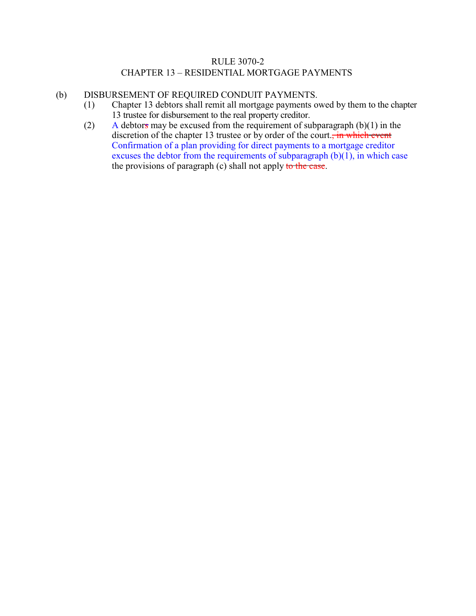## RULE 3070-2 CHAPTER 13 – RESIDENTIAL MORTGAGE PAYMENTS

#### (b) DISBURSEMENT OF REQUIRED CONDUIT PAYMENTS.

- (1) Chapter 13 debtors shall remit all mortgage payments owed by them to the chapter 13 trustee for disbursement to the real property creditor.
- (2) A debtors may be excused from the requirement of subparagraph  $(b)(1)$  in the discretion of the chapter 13 trustee or by order of the court., in which event Confirmation of a plan providing for direct payments to a mortgage creditor excuses the debtor from the requirements of subparagraph  $(b)(1)$ , in which case the provisions of paragraph (c) shall not apply to the case.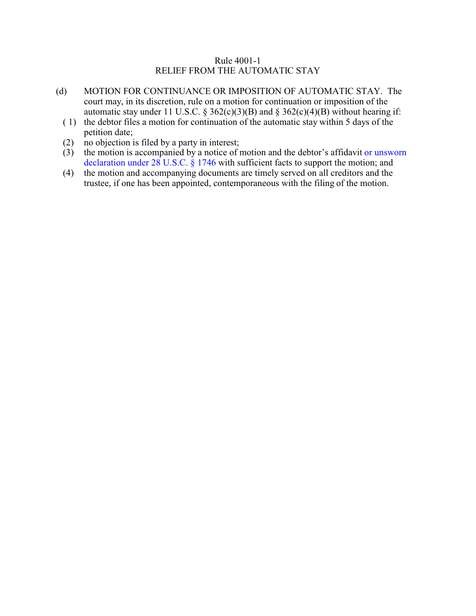### Rule 4001-1 RELIEF FROM THE AUTOMATIC STAY

- (d) MOTION FOR CONTINUANCE OR IMPOSITION OF AUTOMATIC STAY. The court may, in its discretion, rule on a motion for continuation or imposition of the automatic stay under 11 U.S.C. § 362(c)(3)(B) and § 362(c)(4)(B) without hearing if:
	- ( 1) the debtor files a motion for continuation of the automatic stay within 5 days of the petition date;
	- (2) no objection is filed by a party in interest;
	- (3) the motion is accompanied by a notice of motion and the debtor's affidavit or unsworn declaration under 28 U.S.C. § 1746 with sufficient facts to support the motion; and
	- (4) the motion and accompanying documents are timely served on all creditors and the trustee, if one has been appointed, contemporaneous with the filing of the motion.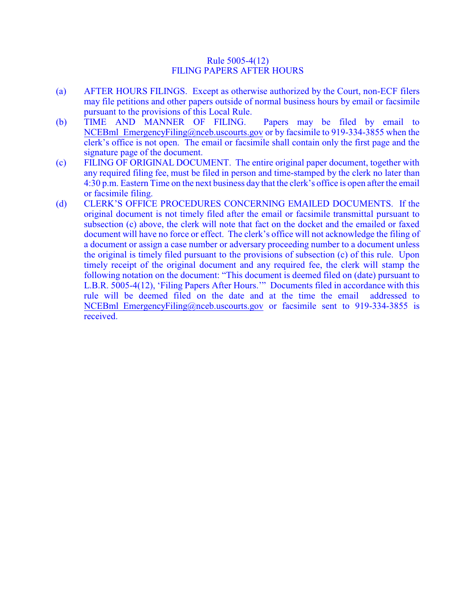#### Rule 5005-4(12) FILING PAPERS AFTER HOURS

- (a) AFTER HOURS FILINGS. Except as otherwise authorized by the Court, non-ECF filers may file petitions and other papers outside of normal business hours by email or facsimile pursuant to the provisions of this Local Rule.
- (b) TIME AND MANNER OF FILING. Papers may be filed by email to NCEBml EmergencyFiling@nceb.uscourts.gov or by facsimile to 919-334-3855 when the clerk's office is not open. The email or facsimile shall contain only the first page and the signature page of the document.
- (c) FILING OF ORIGINAL DOCUMENT. The entire original paper document, together with any required filing fee, must be filed in person and time-stamped by the clerk no later than 4:30 p.m. Eastern Time on the next business day that the clerk's office is open after the email or facsimile filing.
- (d) CLERK'S OFFICE PROCEDURES CONCERNING EMAILED DOCUMENTS. If the original document is not timely filed after the email or facsimile transmittal pursuant to subsection (c) above, the clerk will note that fact on the docket and the emailed or faxed document will have no force or effect. The clerk's office will not acknowledge the filing of a document or assign a case number or adversary proceeding number to a document unless the original is timely filed pursuant to the provisions of subsection (c) of this rule. Upon timely receipt of the original document and any required fee, the clerk will stamp the following notation on the document: "This document is deemed filed on (date) pursuant to L.B.R. 5005-4(12), 'Filing Papers After Hours.'" Documents filed in accordance with this rule will be deemed filed on the date and at the time the email addressed to NCEBml EmergencyFiling@nceb.uscourts.gov or facsimile sent to 919-334-3855 is received.